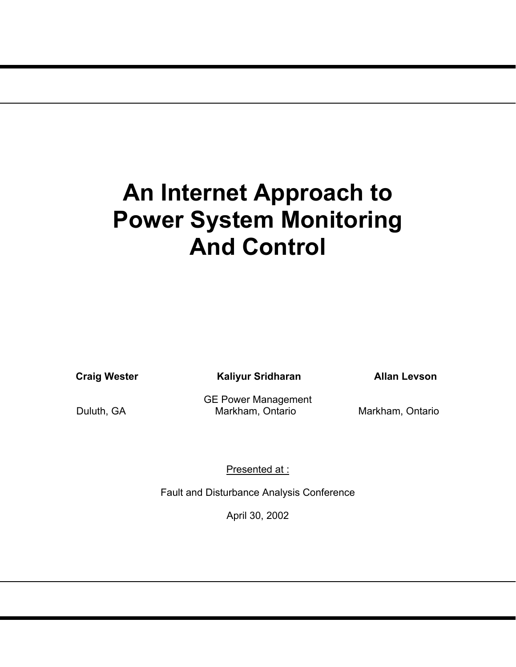# **An Internet Approach to Power System Monitoring And Control**

**Craig Wester Caliyur Sridharan Mallan Levson** 

GE Power Management Duluth, GA Markham, Ontario Markham, Ontario

Presented at :

Fault and Disturbance Analysis Conference

April 30, 2002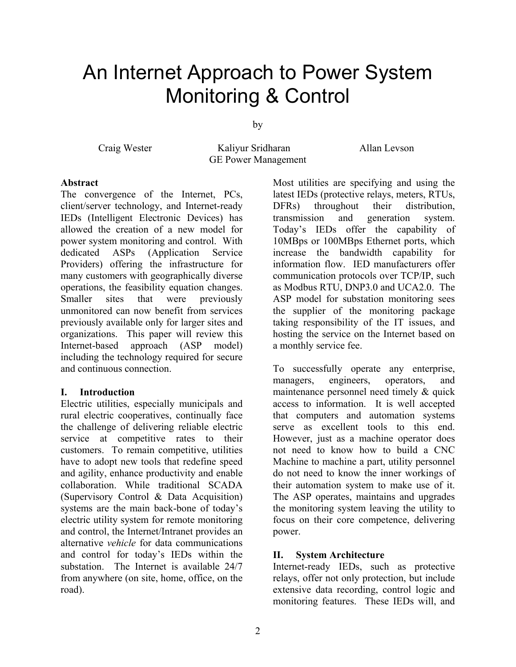# An Internet Approach to Power System Monitoring & Control

by

Craig Wester Kaliyur Sridharan Allan Levson GE Power Management

#### **Abstract**

The convergence of the Internet, PCs, client/server technology, and Internet-ready IEDs (Intelligent Electronic Devices) has allowed the creation of a new model for power system monitoring and control. With dedicated ASPs (Application Service Providers) offering the infrastructure for many customers with geographically diverse operations, the feasibility equation changes. Smaller sites that were previously unmonitored can now benefit from services previously available only for larger sites and organizations. This paper will review this Internet-based approach (ASP model) including the technology required for secure and continuous connection.

# **I. Introduction**

Electric utilities, especially municipals and rural electric cooperatives, continually face the challenge of delivering reliable electric service at competitive rates to their customers. To remain competitive, utilities have to adopt new tools that redefine speed and agility, enhance productivity and enable collaboration. While traditional SCADA (Supervisory Control & Data Acquisition) systems are the main back-bone of today's electric utility system for remote monitoring and control, the Internet/Intranet provides an alternative *vehicle* for data communications and control for today's IEDs within the substation. The Internet is available 24/7 from anywhere (on site, home, office, on the road).

Most utilities are specifying and using the latest IEDs (protective relays, meters, RTUs, DFRs) throughout their distribution, transmission and generation system. Today's IEDs offer the capability of 10MBps or 100MBps Ethernet ports, which increase the bandwidth capability for information flow. IED manufacturers offer communication protocols over TCP/IP, such as Modbus RTU, DNP3.0 and UCA2.0. The ASP model for substation monitoring sees the supplier of the monitoring package taking responsibility of the IT issues, and hosting the service on the Internet based on a monthly service fee.

To successfully operate any enterprise, managers, engineers, operators, and maintenance personnel need timely & quick access to information. It is well accepted that computers and automation systems serve as excellent tools to this end. However, just as a machine operator does not need to know how to build a CNC Machine to machine a part, utility personnel do not need to know the inner workings of their automation system to make use of it. The ASP operates, maintains and upgrades the monitoring system leaving the utility to focus on their core competence, delivering power.

# **II. System Architecture**

Internet-ready IEDs, such as protective relays, offer not only protection, but include extensive data recording, control logic and monitoring features. These IEDs will, and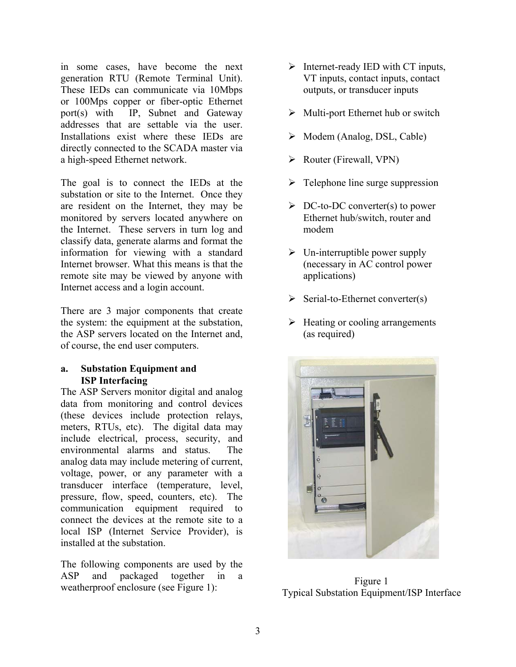in some cases, have become the next generation RTU (Remote Terminal Unit). These IEDs can communicate via 10Mbps or 100Mps copper or fiber-optic Ethernet port(s) with IP, Subnet and Gateway addresses that are settable via the user. Installations exist where these IEDs are directly connected to the SCADA master via a high-speed Ethernet network.

The goal is to connect the IEDs at the substation or site to the Internet. Once they are resident on the Internet, they may be monitored by servers located anywhere on the Internet. These servers in turn log and classify data, generate alarms and format the information for viewing with a standard Internet browser. What this means is that the remote site may be viewed by anyone with Internet access and a login account.

There are 3 major components that create the system: the equipment at the substation, the ASP servers located on the Internet and, of course, the end user computers.

# **a. Substation Equipment and ISP Interfacing**

The ASP Servers monitor digital and analog data from monitoring and control devices (these devices include protection relays, meters, RTUs, etc). The digital data may include electrical, process, security, and environmental alarms and status. The analog data may include metering of current, voltage, power, or any parameter with a transducer interface (temperature, level, pressure, flow, speed, counters, etc). The communication equipment required to connect the devices at the remote site to a local ISP (Internet Service Provider), is installed at the substation.

The following components are used by the ASP and packaged together in a weatherproof enclosure (see Figure 1):

- $\triangleright$  Internet-ready IED with CT inputs, VT inputs, contact inputs, contact outputs, or transducer inputs
- $\triangleright$  Multi-port Ethernet hub or switch
- $\triangleright$  Modem (Analog, DSL, Cable)
- $\triangleright$  Router (Firewall, VPN)
- $\triangleright$  Telephone line surge suppression
- $\triangleright$  DC-to-DC converter(s) to power Ethernet hub/switch, router and modem
- $\triangleright$  Un-interruptible power supply (necessary in AC control power applications)
- $\triangleright$  Serial-to-Ethernet converter(s)
- $\triangleright$  Heating or cooling arrangements (as required)



Figure 1 Typical Substation Equipment/ISP Interface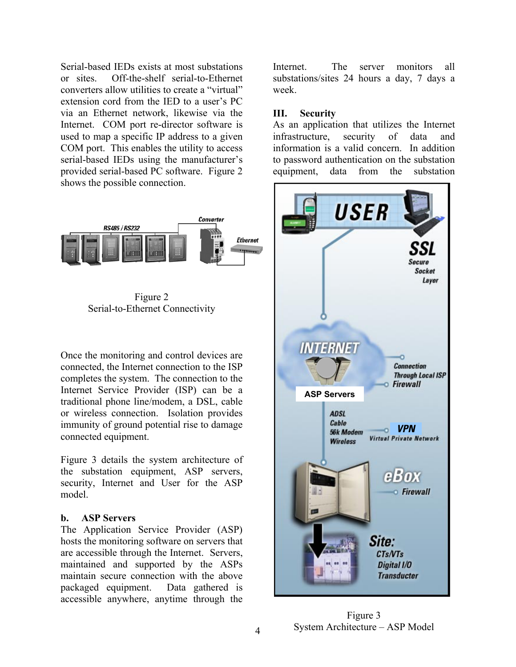Serial-based IEDs exists at most substations or sites. Off-the-shelf serial-to-Ethernet converters allow utilities to create a "virtual" extension cord from the IED to a user's PC via an Ethernet network, likewise via the Internet. COM port re-director software is used to map a specific IP address to a given COM port. This enables the utility to access serial-based IEDs using the manufacturer's provided serial-based PC software. Figure 2 shows the possible connection.



Figure 2 Serial-to-Ethernet Connectivity

Once the monitoring and control devices are connected, the Internet connection to the ISP completes the system. The connection to the Internet Service Provider (ISP) can be a traditional phone line/modem, a DSL, cable or wireless connection. Isolation provides immunity of ground potential rise to damage connected equipment.

Figure 3 details the system architecture of the substation equipment, ASP servers, security, Internet and User for the ASP model.

# **b. ASP Servers**

The Application Service Provider (ASP) hosts the monitoring software on servers that are accessible through the Internet. Servers, maintained and supported by the ASPs maintain secure connection with the above packaged equipment. Data gathered is accessible anywhere, anytime through the

Internet. The server monitors all substations/sites 24 hours a day, 7 days a week.

# **III. Security**

As an application that utilizes the Internet infrastructure, security of data and information is a valid concern. In addition to password authentication on the substation equipment, data from the substation



Figure 3 System Architecture – ASP Model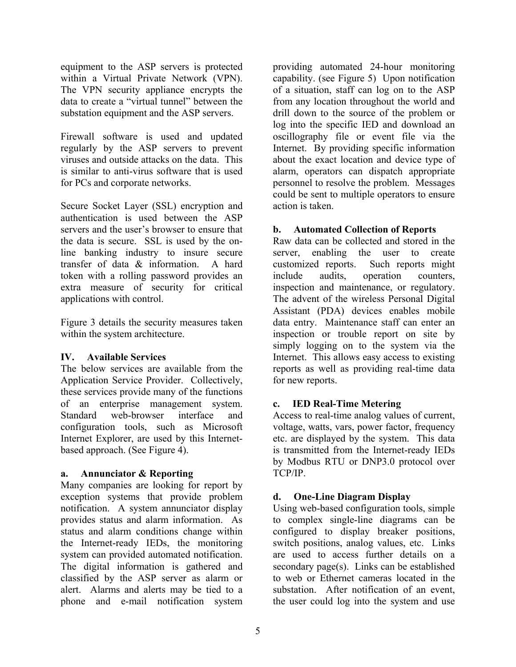equipment to the ASP servers is protected within a Virtual Private Network (VPN). The VPN security appliance encrypts the data to create a "virtual tunnel" between the substation equipment and the ASP servers.

Firewall software is used and updated regularly by the ASP servers to prevent viruses and outside attacks on the data. This is similar to anti-virus software that is used for PCs and corporate networks.

Secure Socket Layer (SSL) encryption and authentication is used between the ASP servers and the user's browser to ensure that the data is secure. SSL is used by the online banking industry to insure secure transfer of data & information. A hard token with a rolling password provides an extra measure of security for critical applications with control.

Figure 3 details the security measures taken within the system architecture.

# **IV. Available Services**

The below services are available from the Application Service Provider. Collectively, these services provide many of the functions of an enterprise management system. Standard web-browser interface and configuration tools, such as Microsoft Internet Explorer, are used by this Internetbased approach. (See Figure 4).

# **a. Annunciator & Reporting**

Many companies are looking for report by exception systems that provide problem notification. A system annunciator display provides status and alarm information. As status and alarm conditions change within the Internet-ready IEDs, the monitoring system can provided automated notification. The digital information is gathered and classified by the ASP server as alarm or alert. Alarms and alerts may be tied to a phone and e-mail notification system

providing automated 24-hour monitoring capability. (see Figure 5) Upon notification of a situation, staff can log on to the ASP from any location throughout the world and drill down to the source of the problem or log into the specific IED and download an oscillography file or event file via the Internet. By providing specific information about the exact location and device type of alarm, operators can dispatch appropriate personnel to resolve the problem. Messages could be sent to multiple operators to ensure action is taken.

# **b. Automated Collection of Reports**

Raw data can be collected and stored in the server, enabling the user to create customized reports. Such reports might include audits, operation counters, inspection and maintenance, or regulatory. The advent of the wireless Personal Digital Assistant (PDA) devices enables mobile data entry. Maintenance staff can enter an inspection or trouble report on site by simply logging on to the system via the Internet. This allows easy access to existing reports as well as providing real-time data for new reports.

# **c. IED Real-Time Metering**

Access to real-time analog values of current, voltage, watts, vars, power factor, frequency etc. are displayed by the system. This data is transmitted from the Internet-ready IEDs by Modbus RTU or DNP3.0 protocol over TCP/IP.

# **d. One-Line Diagram Display**

Using web-based configuration tools, simple to complex single-line diagrams can be configured to display breaker positions, switch positions, analog values, etc. Links are used to access further details on a secondary page(s). Links can be established to web or Ethernet cameras located in the substation. After notification of an event. the user could log into the system and use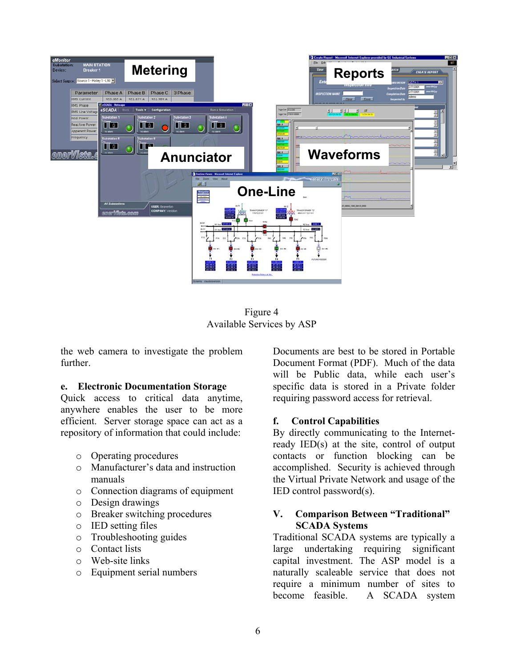

Figure 4 Available Services by ASP

the web camera to investigate the problem further.

#### **e. Electronic Documentation Storage**

Quick access to critical data anytime, anywhere enables the user to be more efficient. Server storage space can act as a repository of information that could include:

- o Operating procedures
- o Manufacturer's data and instruction manuals
- o Connection diagrams of equipment
- o Design drawings
- o Breaker switching procedures
- o IED setting files
- o Troubleshooting guides
- o Contact lists
- o Web-site links
- o Equipment serial numbers

Documents are best to be stored in Portable Document Format (PDF). Much of the data will be Public data, while each user's specific data is stored in a Private folder requiring password access for retrieval.

# **f. Control Capabilities**

By directly communicating to the Internetready IED(s) at the site, control of output contacts or function blocking can be accomplished. Security is achieved through the Virtual Private Network and usage of the IED control password(s).

# **V. Comparison Between "Traditional" SCADA Systems**

Traditional SCADA systems are typically a large undertaking requiring significant capital investment. The ASP model is a naturally scaleable service that does not require a minimum number of sites to become feasible. A SCADA system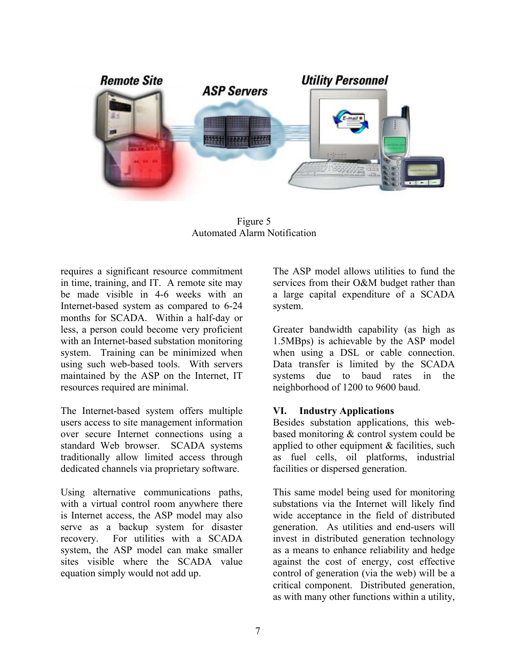

Figure 5 Automated Alarm Notification

requires a significant resource commitment in time, training, and IT. A remote site may be made visible in 4-6 weeks with an Internet-based system as compared to 6-24 months for SCADA. Within a half-day or less, a person could become very proficient with an Internet-based substation monitoring system. Training can be minimized when using such web-based tools. With servers maintained by the ASP on the Internet, IT resources required are minimal.

The Internet-based system offers multiple users access to site management information over secure Internet connections using a standard Web browser. SCADA systems traditionally allow limited access through dedicated channels via proprietary software.

Using alternative communications paths, with a virtual control room anywhere there is Internet access, the ASP model may also serve as a backup system for disaster recovery. For utilities with a SCADA system, the ASP model can make smaller sites visible where the SCADA value equation simply would not add up.

The ASP model allows utilities to fund the services from their O&M budget rather than a large capital expenditure of a SCADA system.

Greater bandwidth capability (as high as 1.5MBps) is achievable by the ASP model when using a DSL or cable connection. Data transfer is limited by the SCADA systems due to baud rates in the neighborhood of 1200 to 9600 baud.

# **VI. Industry Applications**

Besides substation applications, this webbased monitoring & control system could be applied to other equipment  $&$  facilities, such as fuel cells, oil platforms, industrial facilities or dispersed generation.

This same model being used for monitoring substations via the Internet will likely find wide acceptance in the field of distributed generation. As utilities and end-users will invest in distributed generation technology as a means to enhance reliability and hedge against the cost of energy, cost effective control of generation (via the web) will be a critical component. Distributed generation, as with many other functions within a utility,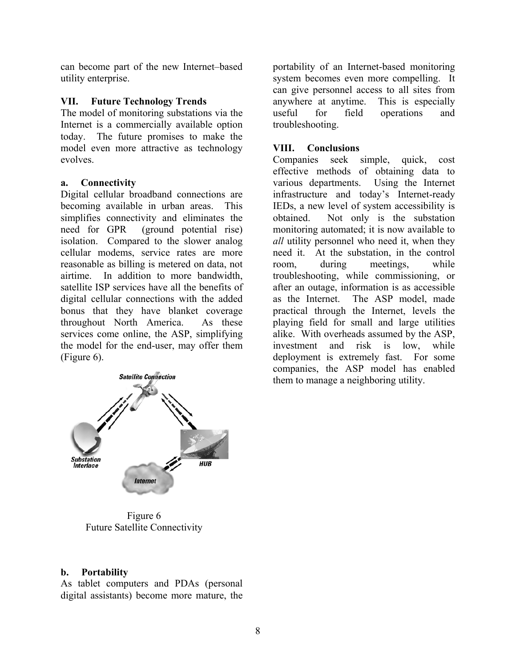can become part of the new Internet–based utility enterprise.

# **VII. Future Technology Trends**

The model of monitoring substations via the Internet is a commercially available option today. The future promises to make the model even more attractive as technology evolves.

# **a. Connectivity**

Digital cellular broadband connections are becoming available in urban areas. This simplifies connectivity and eliminates the need for GPR (ground potential rise) isolation. Compared to the slower analog cellular modems, service rates are more reasonable as billing is metered on data, not airtime. In addition to more bandwidth, satellite ISP services have all the benefits of digital cellular connections with the added bonus that they have blanket coverage throughout North America. As these services come online, the ASP, simplifying the model for the end-user, may offer them (Figure 6).



Figure 6 Future Satellite Connectivity

# **b. Portability**

As tablet computers and PDAs (personal digital assistants) become more mature, the portability of an Internet-based monitoring system becomes even more compelling. It can give personnel access to all sites from anywhere at anytime. This is especially useful for field operations and troubleshooting.

# **VIII. Conclusions**

Companies seek simple, quick, cost effective methods of obtaining data to various departments. Using the Internet infrastructure and today's Internet-ready IEDs, a new level of system accessibility is obtained. Not only is the substation monitoring automated; it is now available to *all* utility personnel who need it, when they need it. At the substation, in the control room, during meetings, while troubleshooting, while commissioning, or after an outage, information is as accessible as the Internet. The ASP model, made practical through the Internet, levels the playing field for small and large utilities alike. With overheads assumed by the ASP, investment and risk is low, while deployment is extremely fast. For some companies, the ASP model has enabled them to manage a neighboring utility.